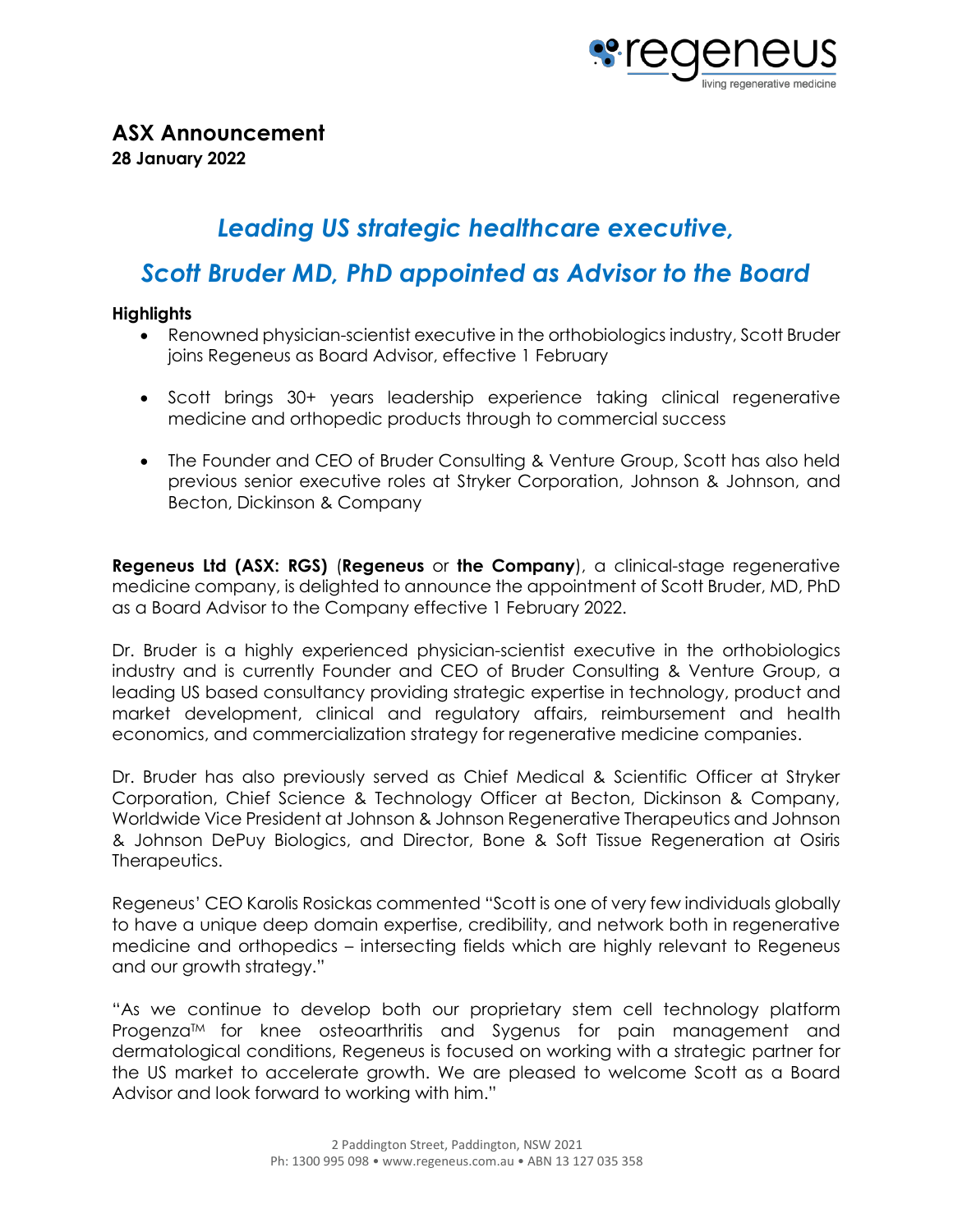

# *Leading US strategic healthcare executive,*

## *Scott Bruder MD, PhD appointed as Advisor to the Board*

### **Highlights**

- Renowned physician-scientist executive in the orthobiologics industry, Scott Bruder joins Regeneus as Board Advisor, effective 1 February
- Scott brings 30+ years leadership experience taking clinical regenerative medicine and orthopedic products through to commercial success
- The Founder and CEO of Bruder Consulting & Venture Group, Scott has also held previous senior executive roles at Stryker Corporation, Johnson & Johnson, and Becton, Dickinson & Company

**Regeneus Ltd (ASX: RGS)** (**Regeneus** or **the Company**), a clinical-stage regenerative medicine company, is delighted to announce the appointment of Scott Bruder, MD, PhD as a Board Advisor to the Company effective 1 February 2022.

Dr. Bruder is a highly experienced physician-scientist executive in the orthobiologics industry and is currently Founder and CEO of Bruder Consulting & Venture Group, a leading US based consultancy providing strategic expertise in technology, product and market development, clinical and regulatory affairs, reimbursement and health economics, and commercialization strategy for regenerative medicine companies.

Dr. Bruder has also previously served as Chief Medical & Scientific Officer at Stryker Corporation, Chief Science & Technology Officer at Becton, Dickinson & Company, Worldwide Vice President at Johnson & Johnson Regenerative Therapeutics and Johnson & Johnson DePuy Biologics, and Director, Bone & Soft Tissue Regeneration at Osiris Therapeutics.

Regeneus' CEO Karolis Rosickas commented "Scott is one of very few individuals globally to have a unique deep domain expertise, credibility, and network both in regenerative medicine and orthopedics – intersecting fields which are highly relevant to Regeneus and our growth strategy."

"As we continue to develop both our proprietary stem cell technology platform Progenza<sup>TM</sup> for knee osteoarthritis and Sygenus for pain management and dermatological conditions, Regeneus is focused on working with a strategic partner for the US market to accelerate growth. We are pleased to welcome Scott as a Board Advisor and look forward to working with him."